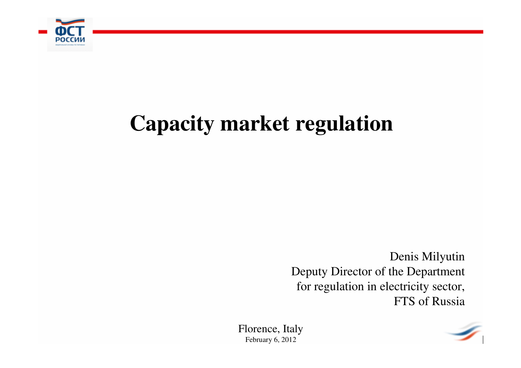

## **Capacity market regulation**

Denis Milyutin Deputy Director of the Department for regulation in electricity sector, FTS of Russia

Florence, ItalyFebruary 6, 2012

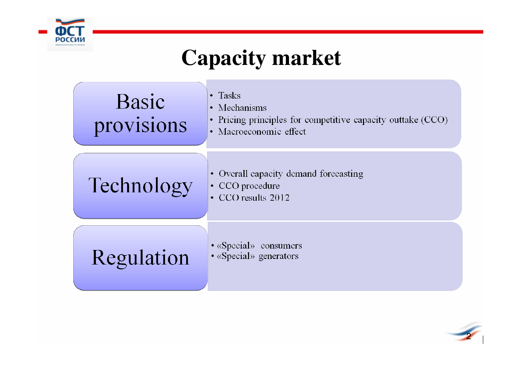

# **Capacity market**



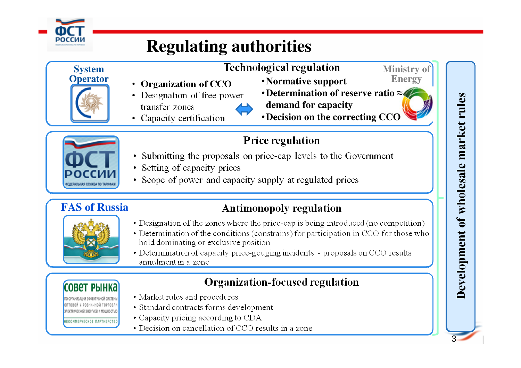

### **Regulating authorities**

### **SystemOperator**

### **Technological regulation**

- •**Normative support**
- •**Determination of reserve ratio ≈demand for capacity**

**Ministry of Energy**

•**Decision on the correcting CCO**



- **Price regulation**
- Submitting the proposals on price-cap levels to the Government
- Setting of capacity prices

• Organization of CCO

• Capacity certification

transfer zones

• Designation of free power

• Scope of power and capacity supply at regulated prices

### **FAS of Russia**

• Designation of the zones where the price-cap is being introduced (no competition)

**Antimonopoly regulation** 

- Determination of the conditions (constrains) for participation in CCO for those who hold dominating or exclusive position
- Determination of capacity price-gouging incidents proposals on CCO results annulment in a zone

### **Organization-focused regulation**

**CORAT PHIHK?** 

электрической энергией и мощность»

- **IEKOMMEPHECKOE NAPTHEPCTE**
- Market rules and procedures
- Standard contracts forms development
- Capacity pricing according to CDA
- Decision on cancellation of CCO results in a zone

# Development of wholesale market rules

3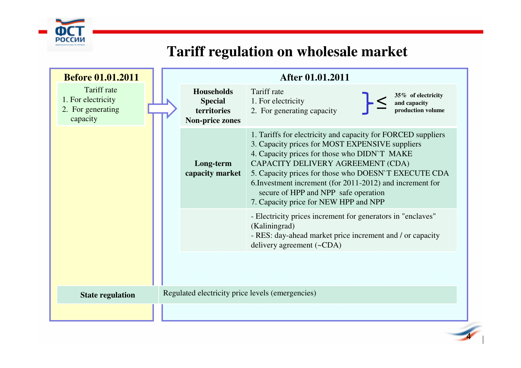

### **Tariff regulation on wholesale market**

| <b>Before 01.01.2011</b>                                           |                                                                              | After 01.01.2011                                                                                                                                                                                                                                                                                                                                                                                           |
|--------------------------------------------------------------------|------------------------------------------------------------------------------|------------------------------------------------------------------------------------------------------------------------------------------------------------------------------------------------------------------------------------------------------------------------------------------------------------------------------------------------------------------------------------------------------------|
| Tariff rate<br>1. For electricity<br>2. For generating<br>capacity | <b>Households</b><br><b>Special</b><br>territories<br><b>Non-price zones</b> | Tariff rate<br>35% of electricity<br>1. For electricity<br>and capacity<br>production volume<br>2. For generating capacity                                                                                                                                                                                                                                                                                 |
|                                                                    | Long-term<br>capacity market                                                 | 1. Tariffs for electricity and capacity for FORCED suppliers<br>3. Capacity prices for MOST EXPENSIVE suppliers<br>4. Capacity prices for those who DIDN'T MAKE<br>CAPACITY DELIVERY AGREEMENT (CDA)<br>5. Capacity prices for those who DOESN`T EXECUTE CDA<br>6. Investment increment (for 2011-2012) and increment for<br>secure of HPP and NPP safe operation<br>7. Capacity price for NEW HPP and NPP |
|                                                                    |                                                                              | - Electricity prices increment for generators in "enclaves"<br>(Kaliningrad)<br>- RES: day-ahead market price increment and / or capacity<br>delivery agreement $(\sim CDA)$                                                                                                                                                                                                                               |
| <b>State regulation</b>                                            |                                                                              | Regulated electricity price levels (emergencies)                                                                                                                                                                                                                                                                                                                                                           |
|                                                                    |                                                                              |                                                                                                                                                                                                                                                                                                                                                                                                            |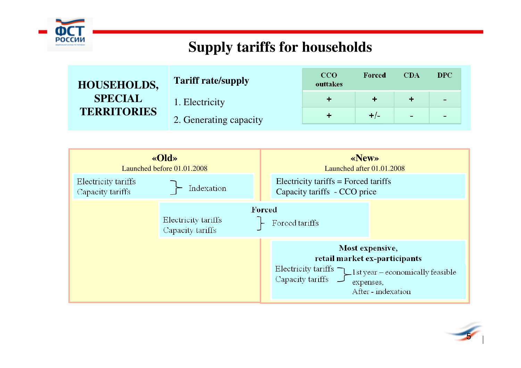

### **Supply tariffs for households**

| <b>HOUSEHOLDS,</b> | <b>Tariff rate/supply</b> | <b>CCO</b><br>outtakes | Forced | CDA | DPC.       |
|--------------------|---------------------------|------------------------|--------|-----|------------|
| <b>SPECIAL</b>     | 1. Electricity            |                        |        |     | -          |
| <b>TERRITORIES</b> | 2. Generating capacity    |                        | $+/-$  |     | <b>COL</b> |
|                    |                           |                        |        |     |            |



5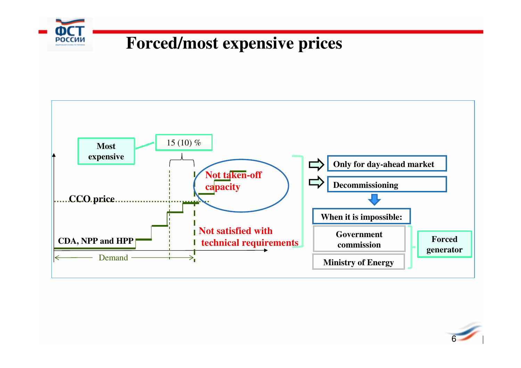

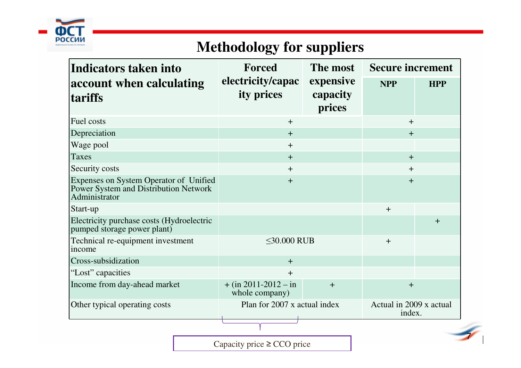

### **Methodology for suppliers**

| Indicators taken into                                                                            | Forced                                          | The most                        | <b>Secure increment</b>           |            |
|--------------------------------------------------------------------------------------------------|-------------------------------------------------|---------------------------------|-----------------------------------|------------|
| account when calculating<br>tariffs                                                              | electricity/capac<br>ity prices                 | expensive<br>capacity<br>prices | <b>NPP</b>                        | <b>HPP</b> |
| Fuel costs                                                                                       | $+$                                             |                                 | $\ddot{}$                         |            |
| Depreciation                                                                                     | $+$                                             | $+$                             |                                   |            |
| Wage pool                                                                                        | $+$                                             |                                 |                                   |            |
| <b>Taxes</b>                                                                                     | $+$                                             | $+$                             |                                   |            |
| Security costs                                                                                   | $\mathrm{+}$                                    | $+$                             |                                   |            |
| Expenses on System Operator of Unified<br>Power System and Distribution Network<br>Administrator | $\ddot{}$                                       | $+$                             |                                   |            |
| Start-up                                                                                         |                                                 | $+$                             |                                   |            |
| Electricity purchase costs (Hydroelectric<br>pumped storage power plant)                         |                                                 |                                 |                                   | $+$        |
| Technical re-equipment investment<br>income                                                      | $\leq$ 30.000 RUB                               | $+$                             |                                   |            |
| Cross-subsidization                                                                              | $+$                                             |                                 |                                   |            |
| "Lost" capacities                                                                                | $\pm$                                           |                                 |                                   |            |
| Income from day-ahead market                                                                     | $+$ (in 2011-2012 – in<br>$+$<br>whole company) |                                 | $\pm$                             |            |
| Other typical operating costs                                                                    | Plan for 2007 x actual index                    |                                 | Actual in 2009 x actual<br>index. |            |
|                                                                                                  |                                                 |                                 |                                   |            |

Capacity price≥ CCO price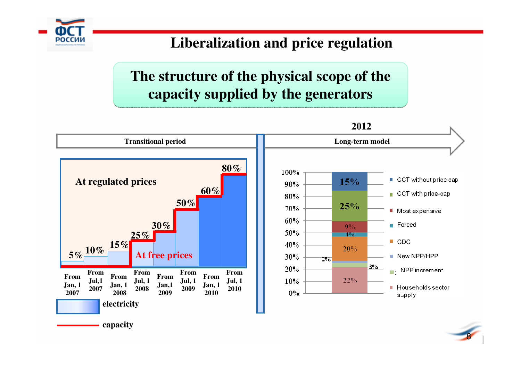### **Liberalization and price regulation**

### **The structure of the physical scope of the capacity supplied by the generators**

россиі